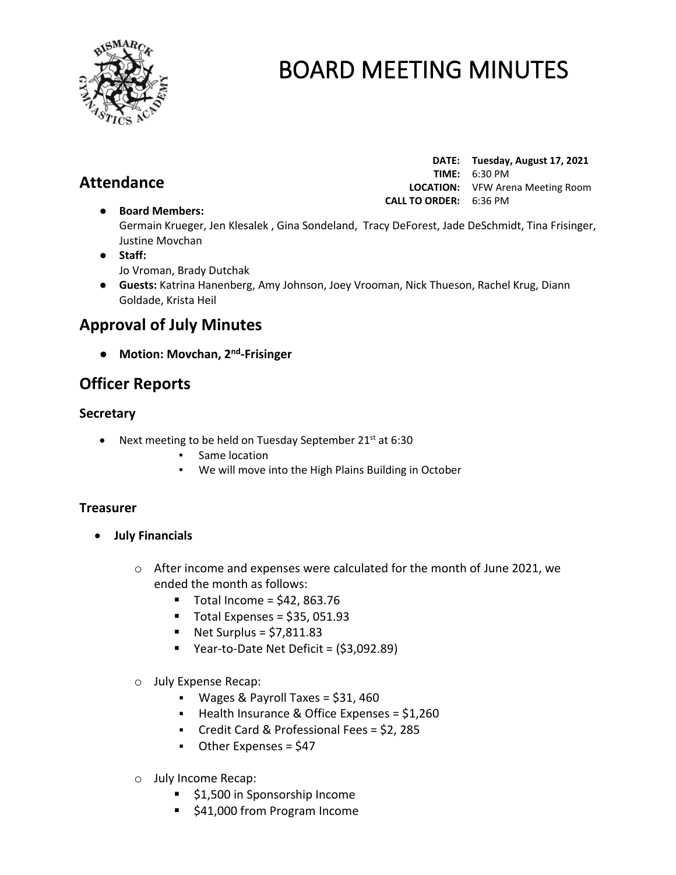

# **Attendance**

|                               | DATE: Tuesday, August 17, 2021          |
|-------------------------------|-----------------------------------------|
|                               | <b>TIME:</b> $6:30 \text{ PM}$          |
|                               | <b>LOCATION:</b> VFW Arena Meeting Room |
| <b>CALL TO ORDER: 6:36 PM</b> |                                         |

Germain Krueger, Jen Klesalek , Gina Sondeland, Tracy DeForest, Jade DeSchmidt, Tina Frisinger, Justine Movchan

● **Staff:**  Jo Vroman, Brady Dutchak

● **Board Members:**

● **Guests:** Katrina Hanenberg, Amy Johnson, Joey Vrooman, Nick Thueson, Rachel Krug, Diann Goldade, Krista Heil

# **Approval of July Minutes**

● **Motion: Movchan, 2nd -Frisinger**

# **Officer Reports**

# **Secretary**

- Next meeting to be held on Tuesday September  $21^{st}$  at 6:30
	- Same location
	- We will move into the High Plains Building in October

# **Treasurer**

- **July Financials** 
	- o After income and expenses were calculated for the month of June 2021, we ended the month as follows:
		- $\blacksquare$  Total Income = \$42, 863.76
		- $\blacksquare$  Total Expenses = \$35, 051.93
		- $\blacksquare$  Net Surplus = \$7,811.83
		- Year-to-Date Net Deficit = (\$3,092.89)
	- o July Expense Recap:
		- $\blacksquare$  Wages & Payroll Taxes = \$31, 460
		- Health Insurance & Office Expenses = \$1,260
		- Credit Card & Professional Fees = \$2, 285
		- Other Expenses = \$47
	- o July Income Recap:
		- \$1,500 in Sponsorship Income
		- \$41,000 from Program Income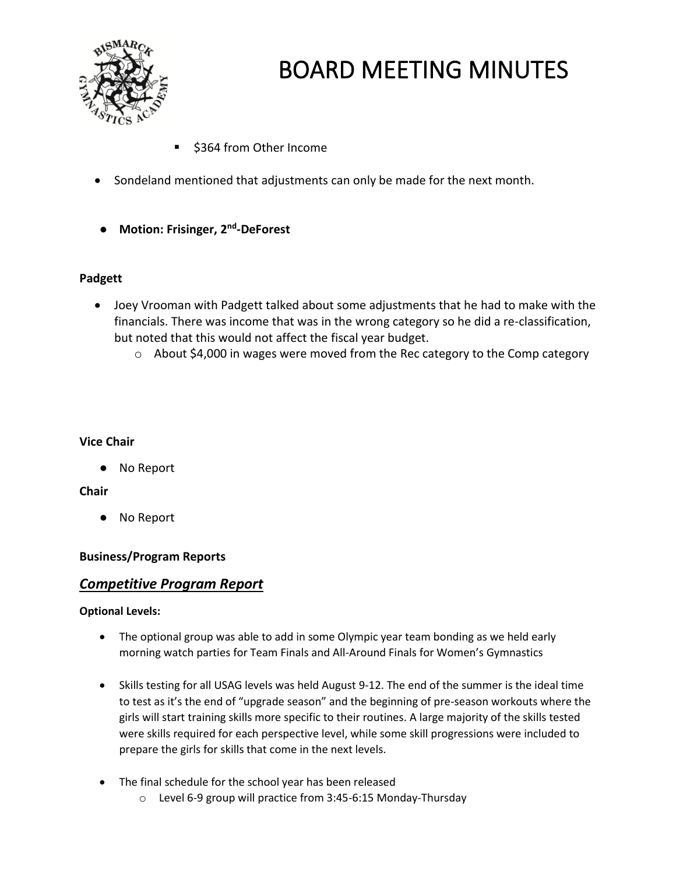

- \$364 from Other Income
- Sondeland mentioned that adjustments can only be made for the next month.
- **Motion: Frisinger, 2nd -DeForest**

## **Padgett**

- Joey Vrooman with Padgett talked about some adjustments that he had to make with the financials. There was income that was in the wrong category so he did a re-classification, but noted that this would not affect the fiscal year budget.
	- o About \$4,000 in wages were moved from the Rec category to the Comp category

### **Vice Chair**

● No Report

# **Chair**

No Report

# **Business/Program Reports**

# *Competitive Program Report*

### **Optional Levels:**

- The optional group was able to add in some Olympic year team bonding as we held early morning watch parties for Team Finals and All-Around Finals for Women's Gymnastics
- Skills testing for all USAG levels was held August 9-12. The end of the summer is the ideal time to test as it's the end of "upgrade season" and the beginning of pre-season workouts where the girls will start training skills more specific to their routines. A large majority of the skills tested were skills required for each perspective level, while some skill progressions were included to prepare the girls for skills that come in the next levels.
- The final schedule for the school year has been released
	- o Level 6-9 group will practice from 3:45-6:15 Monday-Thursday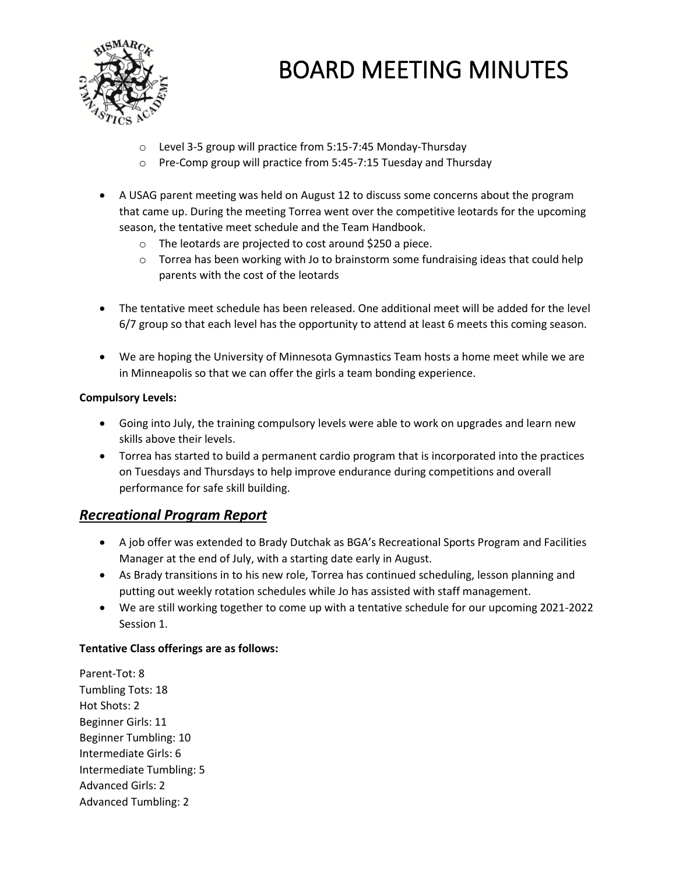

- o Level 3-5 group will practice from 5:15-7:45 Monday-Thursday
- o Pre-Comp group will practice from 5:45-7:15 Tuesday and Thursday
- A USAG parent meeting was held on August 12 to discuss some concerns about the program that came up. During the meeting Torrea went over the competitive leotards for the upcoming season, the tentative meet schedule and the Team Handbook.
	- o The leotards are projected to cost around \$250 a piece.
	- $\circ$  Torrea has been working with Jo to brainstorm some fundraising ideas that could help parents with the cost of the leotards
- The tentative meet schedule has been released. One additional meet will be added for the level 6/7 group so that each level has the opportunity to attend at least 6 meets this coming season.
- We are hoping the University of Minnesota Gymnastics Team hosts a home meet while we are in Minneapolis so that we can offer the girls a team bonding experience.

### **Compulsory Levels:**

- Going into July, the training compulsory levels were able to work on upgrades and learn new skills above their levels.
- Torrea has started to build a permanent cardio program that is incorporated into the practices on Tuesdays and Thursdays to help improve endurance during competitions and overall performance for safe skill building.

# *Recreational Program Report*

- A job offer was extended to Brady Dutchak as BGA's Recreational Sports Program and Facilities Manager at the end of July, with a starting date early in August.
- As Brady transitions in to his new role, Torrea has continued scheduling, lesson planning and putting out weekly rotation schedules while Jo has assisted with staff management.
- We are still working together to come up with a tentative schedule for our upcoming 2021-2022 Session 1.

### **Tentative Class offerings are as follows:**

Parent-Tot: 8 Tumbling Tots: 18 Hot Shots: 2 Beginner Girls: 11 Beginner Tumbling: 10 Intermediate Girls: 6 Intermediate Tumbling: 5 Advanced Girls: 2 Advanced Tumbling: 2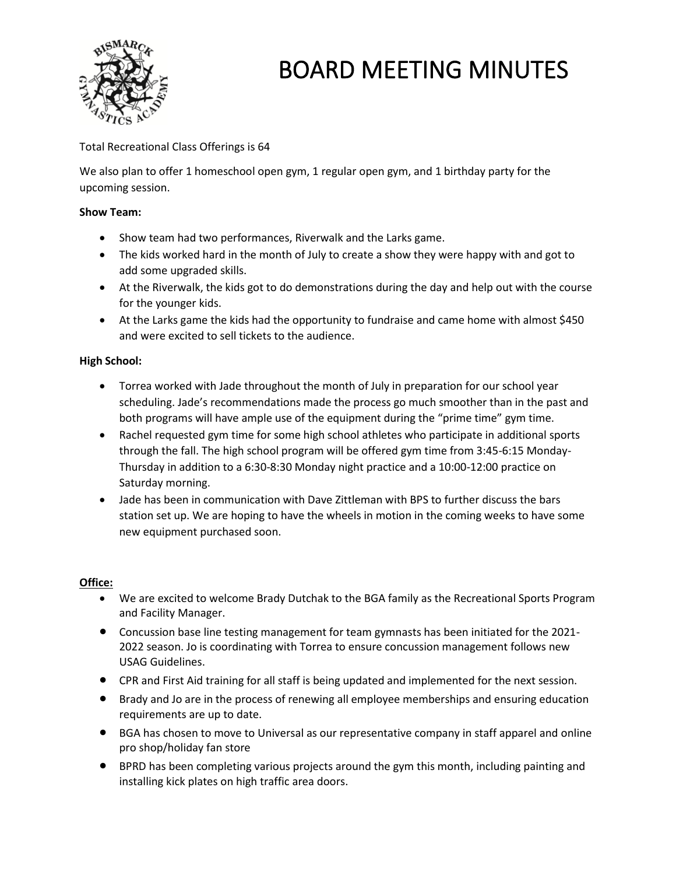

## Total Recreational Class Offerings is 64

We also plan to offer 1 homeschool open gym, 1 regular open gym, and 1 birthday party for the upcoming session.

#### **Show Team:**

- Show team had two performances, Riverwalk and the Larks game.
- The kids worked hard in the month of July to create a show they were happy with and got to add some upgraded skills.
- At the Riverwalk, the kids got to do demonstrations during the day and help out with the course for the younger kids.
- At the Larks game the kids had the opportunity to fundraise and came home with almost \$450 and were excited to sell tickets to the audience.

### **High School:**

- Torrea worked with Jade throughout the month of July in preparation for our school year scheduling. Jade's recommendations made the process go much smoother than in the past and both programs will have ample use of the equipment during the "prime time" gym time.
- Rachel requested gym time for some high school athletes who participate in additional sports through the fall. The high school program will be offered gym time from 3:45-6:15 Monday-Thursday in addition to a 6:30-8:30 Monday night practice and a 10:00-12:00 practice on Saturday morning.
- Jade has been in communication with Dave Zittleman with BPS to further discuss the bars station set up. We are hoping to have the wheels in motion in the coming weeks to have some new equipment purchased soon.

#### **Office:**

- We are excited to welcome Brady Dutchak to the BGA family as the Recreational Sports Program and Facility Manager.
- Concussion base line testing management for team gymnasts has been initiated for the 2021- 2022 season. Jo is coordinating with Torrea to ensure concussion management follows new USAG Guidelines.
- CPR and First Aid training for all staff is being updated and implemented for the next session.
- Brady and Jo are in the process of renewing all employee memberships and ensuring education requirements are up to date.
- BGA has chosen to move to Universal as our representative company in staff apparel and online pro shop/holiday fan store
- BPRD has been completing various projects around the gym this month, including painting and installing kick plates on high traffic area doors.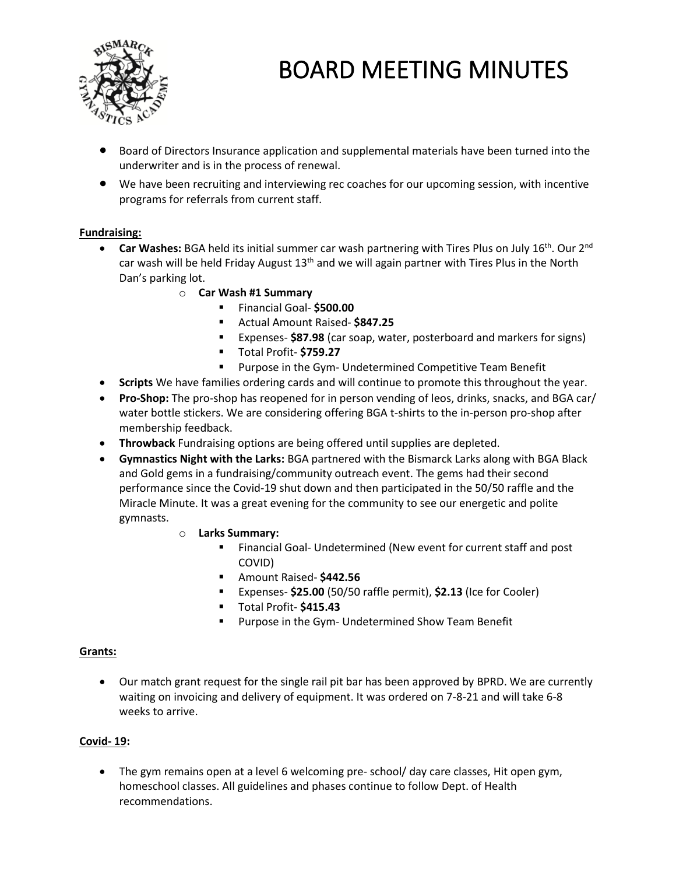

- Board of Directors Insurance application and supplemental materials have been turned into the underwriter and is in the process of renewal.
- We have been recruiting and interviewing rec coaches for our upcoming session, with incentive programs for referrals from current staff.

### **Fundraising:**

- **Car Washes:** BGA held its initial summer car wash partnering with Tires Plus on July 16<sup>th</sup>. Our 2<sup>nd</sup> car wash will be held Friday August 13<sup>th</sup> and we will again partner with Tires Plus in the North Dan's parking lot.
	- o **Car Wash #1 Summary**
		- Financial Goal- **\$500.00**
		- Actual Amount Raised- **\$847.25**
		- Expenses- \$87.98 (car soap, water, posterboard and markers for signs)
		- Total Profit- **\$759.27**
		- Purpose in the Gym- Undetermined Competitive Team Benefit
- **Scripts** We have families ordering cards and will continue to promote this throughout the year.
- **Pro-Shop:** The pro-shop has reopened for in person vending of leos, drinks, snacks, and BGA car/ water bottle stickers. We are considering offering BGA t-shirts to the in-person pro-shop after membership feedback.
- **Throwback** Fundraising options are being offered until supplies are depleted.
- **Gymnastics Night with the Larks:** BGA partnered with the Bismarck Larks along with BGA Black and Gold gems in a fundraising/community outreach event. The gems had their second performance since the Covid-19 shut down and then participated in the 50/50 raffle and the Miracle Minute. It was a great evening for the community to see our energetic and polite gymnasts.
	- o **Larks Summary:**
		- Financial Goal- Undetermined (New event for current staff and post COVID)
		- Amount Raised- **\$442.56**
		- Expenses- **\$25.00** (50/50 raffle permit), **\$2.13** (Ice for Cooler)
		- Total Profit- **\$415.43**
		- Purpose in the Gym- Undetermined Show Team Benefit

#### **Grants:**

• Our match grant request for the single rail pit bar has been approved by BPRD. We are currently waiting on invoicing and delivery of equipment. It was ordered on 7-8-21 and will take 6-8 weeks to arrive.

#### **Covid- 19:**

• The gym remains open at a level 6 welcoming pre- school/ day care classes, Hit open gym, homeschool classes. All guidelines and phases continue to follow Dept. of Health recommendations.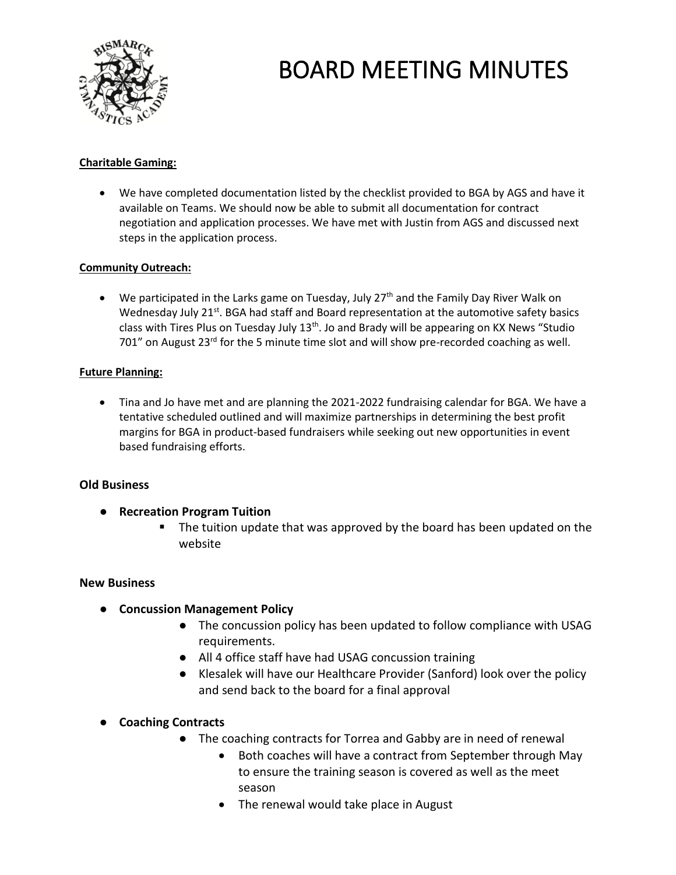

## **Charitable Gaming:**

• We have completed documentation listed by the checklist provided to BGA by AGS and have it available on Teams. We should now be able to submit all documentation for contract negotiation and application processes. We have met with Justin from AGS and discussed next steps in the application process.

### **Community Outreach:**

• We participated in the Larks game on Tuesday, July  $27<sup>th</sup>$  and the Family Day River Walk on Wednesday July 21 $st$ . BGA had staff and Board representation at the automotive safety basics class with Tires Plus on Tuesday July 13<sup>th</sup>. Jo and Brady will be appearing on KX News "Studio 701" on August 23<sup>rd</sup> for the 5 minute time slot and will show pre-recorded coaching as well.

### **Future Planning:**

• Tina and Jo have met and are planning the 2021-2022 fundraising calendar for BGA. We have a tentative scheduled outlined and will maximize partnerships in determining the best profit margins for BGA in product-based fundraisers while seeking out new opportunities in event based fundraising efforts.

### **Old Business**

- **Recreation Program Tuition**
	- The tuition update that was approved by the board has been updated on the website

#### **New Business**

- **Concussion Management Policy**
	- The concussion policy has been updated to follow compliance with USAG requirements.
	- All 4 office staff have had USAG concussion training
	- Klesalek will have our Healthcare Provider (Sanford) look over the policy and send back to the board for a final approval
- **Coaching Contracts**
	- The coaching contracts for Torrea and Gabby are in need of renewal
		- Both coaches will have a contract from September through May to ensure the training season is covered as well as the meet season
		- The renewal would take place in August